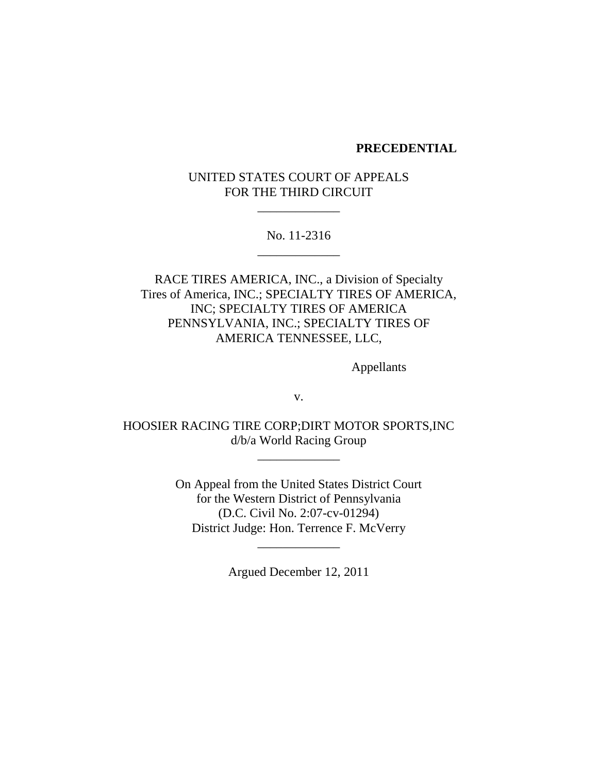#### **PRECEDENTIAL**

# UNITED STATES COURT OF APPEALS FOR THE THIRD CIRCUIT

\_\_\_\_\_\_\_\_\_\_\_\_\_

## No. 11-2316 \_\_\_\_\_\_\_\_\_\_\_\_\_

RACE TIRES AMERICA, INC., a Division of Specialty Tires of America, INC.; SPECIALTY TIRES OF AMERICA, INC; SPECIALTY TIRES OF AMERICA PENNSYLVANIA, INC.; SPECIALTY TIRES OF AMERICA TENNESSEE, LLC,

Appellants

v.

HOOSIER RACING TIRE CORP;DIRT MOTOR SPORTS,INC d/b/a World Racing Group

> On Appeal from the United States District Court for the Western District of Pennsylvania (D.C. Civil No. 2:07-cv-01294) District Judge: Hon. Terrence F. McVerry

\_\_\_\_\_\_\_\_\_\_\_\_\_

Argued December 12, 2011

\_\_\_\_\_\_\_\_\_\_\_\_\_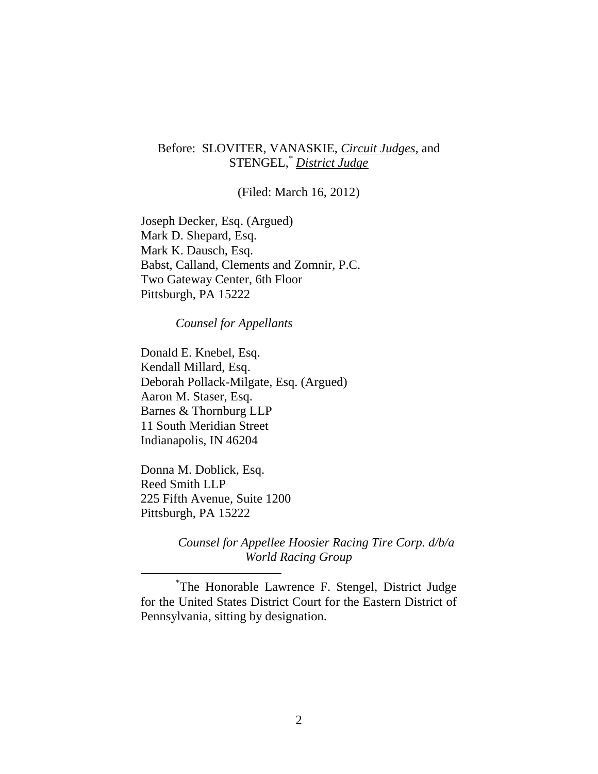## Before: SLOVITER, VANASKIE, *Circuit Judges,* and STENGEL,\* *District Judge*

(Filed: March 16, 2012)

Joseph Decker, Esq. (Argued) Mark D. Shepard, Esq. Mark K. Dausch, Esq. Babst, Calland, Clements and Zomnir, P.C. Two Gateway Center, 6th Floor Pittsburgh, PA 15222

*Counsel for Appellants*

Donald E. Knebel, Esq. Kendall Millard, Esq. Deborah Pollack-Milgate, Esq. (Argued) Aaron M. Staser, Esq. Barnes & Thornburg LLP 11 South Meridian Street Indianapolis, IN 46204

Donna M. Doblick, Esq. Reed Smith LLP 225 Fifth Avenue, Suite 1200 Pittsburgh, PA 15222

*Counsel for Appellee Hoosier Racing Tire Corp. d/b/a World Racing Group*

\* The Honorable Lawrence F. Stengel, District Judge for the United States District Court for the Eastern District of Pennsylvania, sitting by designation.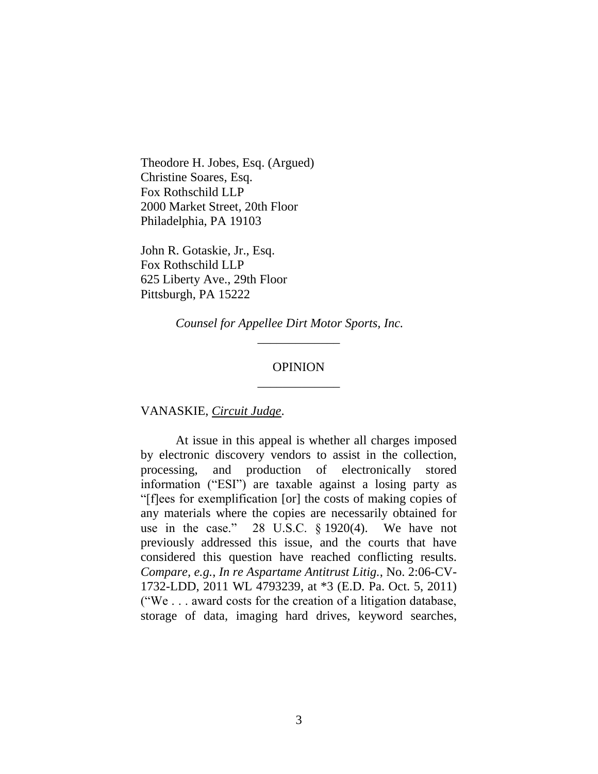Theodore H. Jobes, Esq. (Argued) Christine Soares, Esq. Fox Rothschild LLP 2000 Market Street, 20th Floor Philadelphia, PA 19103

John R. Gotaskie, Jr., Esq. Fox Rothschild LLP 625 Liberty Ave., 29th Floor Pittsburgh, PA 15222

*Counsel for Appellee Dirt Motor Sports, Inc.*

### OPINION \_\_\_\_\_\_\_\_\_\_\_\_\_

\_\_\_\_\_\_\_\_\_\_\_\_\_

VANASKIE, *Circuit Judge*.

At issue in this appeal is whether all charges imposed by electronic discovery vendors to assist in the collection, processing, and production of electronically stored information ("ESI") are taxable against a losing party as ―[f]ees for exemplification [or] the costs of making copies of any materials where the copies are necessarily obtained for use in the case." 28 U.S.C.  $\S 1920(4)$ . We have not previously addressed this issue, and the courts that have considered this question have reached conflicting results. *Compare, e.g.*, *In re Aspartame Antitrust Litig.*, No. 2:06-CV-1732-LDD, 2011 WL 4793239, at \*3 (E.D. Pa. Oct. 5, 2011) ("We  $\ldots$  award costs for the creation of a litigation database, storage of data, imaging hard drives, keyword searches,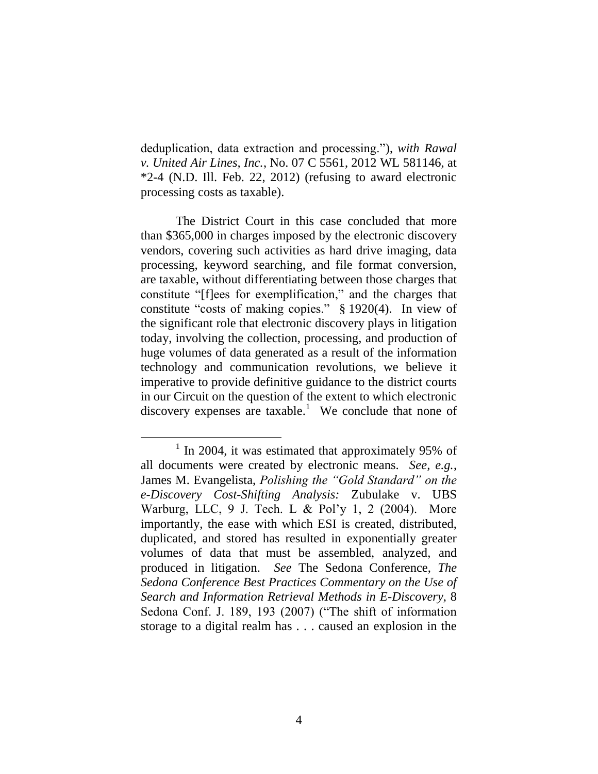deduplication, data extraction and processing."), *with Rawal v. United Air Lines, Inc.*, No. 07 C 5561, 2012 WL 581146, at \*2-4 (N.D. Ill. Feb. 22, 2012) (refusing to award electronic processing costs as taxable).

The District Court in this case concluded that more than \$365,000 in charges imposed by the electronic discovery vendors, covering such activities as hard drive imaging, data processing, keyword searching, and file format conversion, are taxable, without differentiating between those charges that constitute "[f]ees for exemplification," and the charges that constitute "costs of making copies."  $\S$  1920(4). In view of the significant role that electronic discovery plays in litigation today, involving the collection, processing, and production of huge volumes of data generated as a result of the information technology and communication revolutions, we believe it imperative to provide definitive guidance to the district courts in our Circuit on the question of the extent to which electronic discovery expenses are taxable.<sup>1</sup> We conclude that none of

<sup>&</sup>lt;sup>1</sup> In 2004, it was estimated that approximately 95% of all documents were created by electronic means. *See, e.g.*, James M. Evangelista, *Polishing the "Gold Standard" on the e-Discovery Cost-Shifting Analysis:* Zubulake v. UBS Warburg, LLC, 9 J. Tech. L & Pol'y 1, 2 (2004). More importantly, the ease with which ESI is created, distributed, duplicated, and stored has resulted in exponentially greater volumes of data that must be assembled, analyzed, and produced in litigation. *See* The Sedona Conference, *The Sedona Conference Best Practices Commentary on the Use of Search and Information Retrieval Methods in E-Discovery*, 8 Sedona Conf. J. 189, 193  $(2007)$  ("The shift of information storage to a digital realm has . . . caused an explosion in the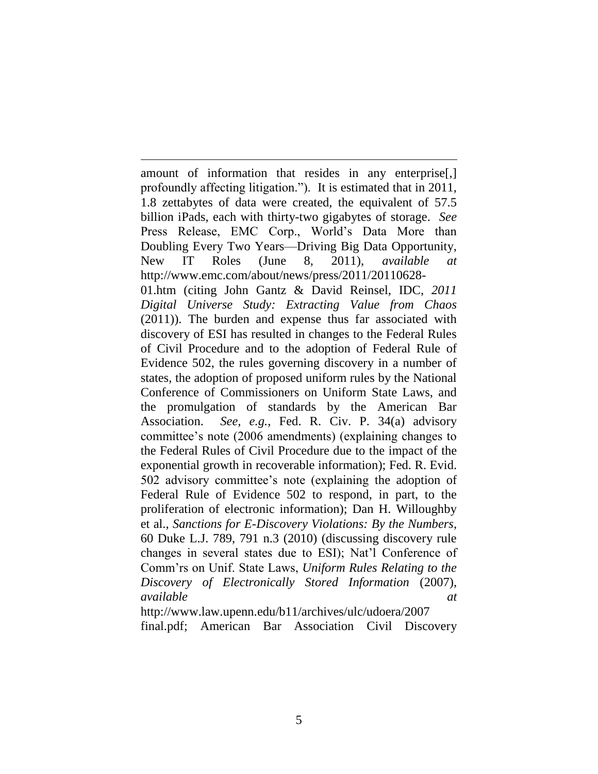amount of information that resides in any enterprise[,] profoundly affecting litigation."). It is estimated that in 2011, 1.8 zettabytes of data were created, the equivalent of 57.5 billion iPads, each with thirty-two gigabytes of storage. *See* Press Release, EMC Corp., World's Data More than Doubling Every Two Years—Driving Big Data Opportunity, New IT Roles (June 8, 2011), *available at* http://www.emc.com/about/news/press/2011/20110628- 01.htm (citing John Gantz & David Reinsel, IDC, *2011 Digital Universe Study: Extracting Value from Chaos* (2011)). The burden and expense thus far associated with discovery of ESI has resulted in changes to the Federal Rules of Civil Procedure and to the adoption of Federal Rule of Evidence 502, the rules governing discovery in a number of states, the adoption of proposed uniform rules by the National Conference of Commissioners on Uniform State Laws, and the promulgation of standards by the American Bar Association. *See, e.g.*, Fed. R. Civ. P. 34(a) advisory committee's note (2006 amendments) (explaining changes to the Federal Rules of Civil Procedure due to the impact of the exponential growth in recoverable information); Fed. R. Evid. 502 advisory committee's note (explaining the adoption of Federal Rule of Evidence 502 to respond, in part, to the proliferation of electronic information); Dan H. Willoughby et al., *Sanctions for E-Discovery Violations: By the Numbers*, 60 Duke L.J. 789, 791 n.3 (2010) (discussing discovery rule changes in several states due to ESI); Nat'l Conference of Comm'rs on Unif. State Laws, *Uniform Rules Relating to the Discovery of Electronically Stored Information* (2007), *available at*

 $\overline{a}$ 

http://www.law.upenn.edu/b11/archives/ulc/udoera/2007 final.pdf; American Bar Association Civil Discovery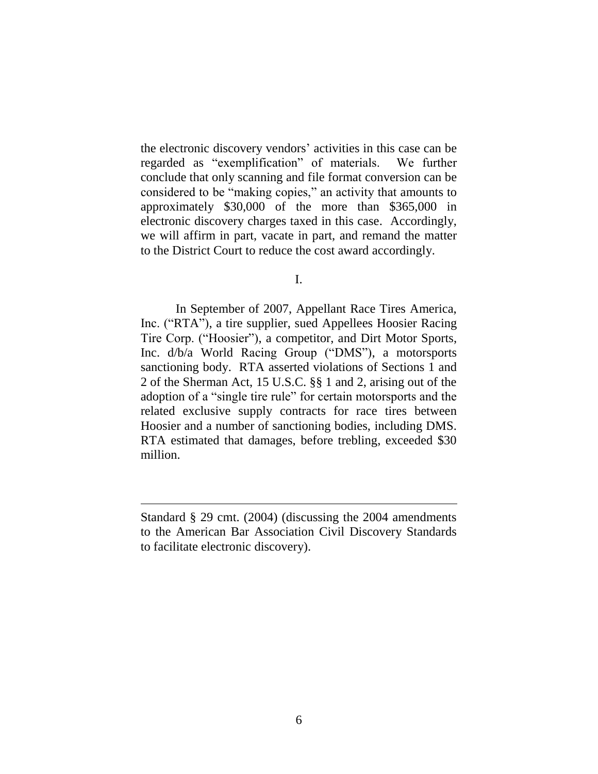the electronic discovery vendors' activities in this case can be regarded as "exemplification" of materials. We further conclude that only scanning and file format conversion can be considered to be "making copies," an activity that amounts to approximately \$30,000 of the more than \$365,000 in electronic discovery charges taxed in this case. Accordingly, we will affirm in part, vacate in part, and remand the matter to the District Court to reduce the cost award accordingly.

I.

In September of 2007, Appellant Race Tires America, Inc. ("RTA"), a tire supplier, sued Appellees Hoosier Racing Tire Corp. ("Hoosier"), a competitor, and Dirt Motor Sports, Inc.  $d/b/a$  World Racing Group ("DMS"), a motorsports sanctioning body. RTA asserted violations of Sections 1 and 2 of the Sherman Act, 15 U.S.C. §§ 1 and 2, arising out of the adoption of a "single tire rule" for certain motorsports and the related exclusive supply contracts for race tires between Hoosier and a number of sanctioning bodies, including DMS. RTA estimated that damages, before trebling, exceeded \$30 million.

 $\overline{a}$ 

Standard § 29 cmt. (2004) (discussing the 2004 amendments to the American Bar Association Civil Discovery Standards to facilitate electronic discovery).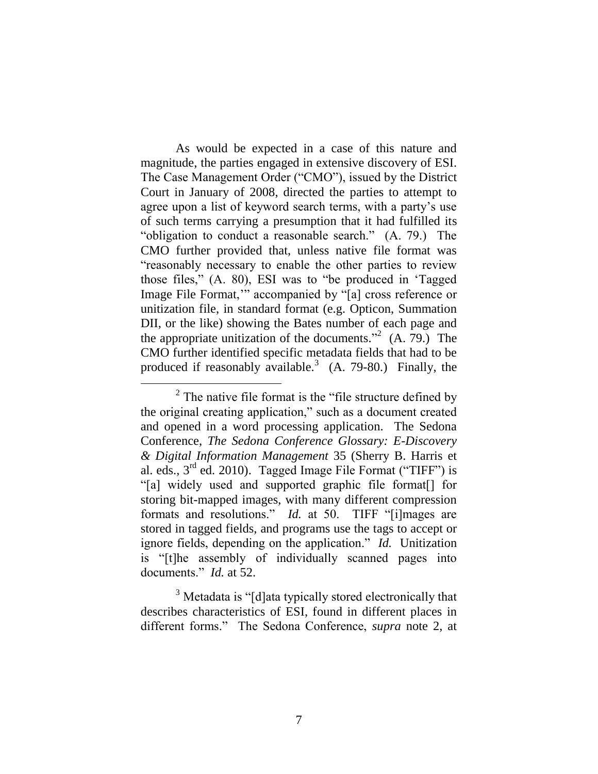As would be expected in a case of this nature and magnitude, the parties engaged in extensive discovery of ESI. The Case Management Order ("CMO"), issued by the District Court in January of 2008, directed the parties to attempt to agree upon a list of keyword search terms, with a party's use of such terms carrying a presumption that it had fulfilled its "obligation to conduct a reasonable search." (A. 79.) The CMO further provided that, unless native file format was ―reasonably necessary to enable the other parties to review those files,"  $(A, 80)$ , ESI was to "be produced in 'Tagged Image File Format," accompanied by "[a] cross reference or unitization file, in standard format (e.g. Opticon, Summation DII, or the like) showing the Bates number of each page and the appropriate unitization of the documents."<sup>2</sup>  $(A. 79)$  The CMO further identified specific metadata fields that had to be produced if reasonably available.<sup>3</sup> (A. 79-80.) Finally, the

 $\overline{a}$ 

 $3$  Metadata is "[d]ata typically stored electronically that describes characteristics of ESI, found in different places in different forms.‖ The Sedona Conference, *supra* note 2, at

 $2^2$  The native file format is the "file structure defined by the original creating application," such as a document created and opened in a word processing application. The Sedona Conference, *The Sedona Conference Glossary: E-Discovery & Digital Information Management* 35 (Sherry B. Harris et al. eds.,  $3<sup>rd</sup>$  ed. 2010). Tagged Image File Format ("TIFF") is ―[a] widely used and supported graphic file format[] for storing bit-mapped images, with many different compression formats and resolutions." *Id.* at 50. TIFF "[i]mages are stored in tagged fields, and programs use the tags to accept or ignore fields, depending on the application." *Id.* Unitization is "[t]he assembly of individually scanned pages into documents." *Id.* at 52.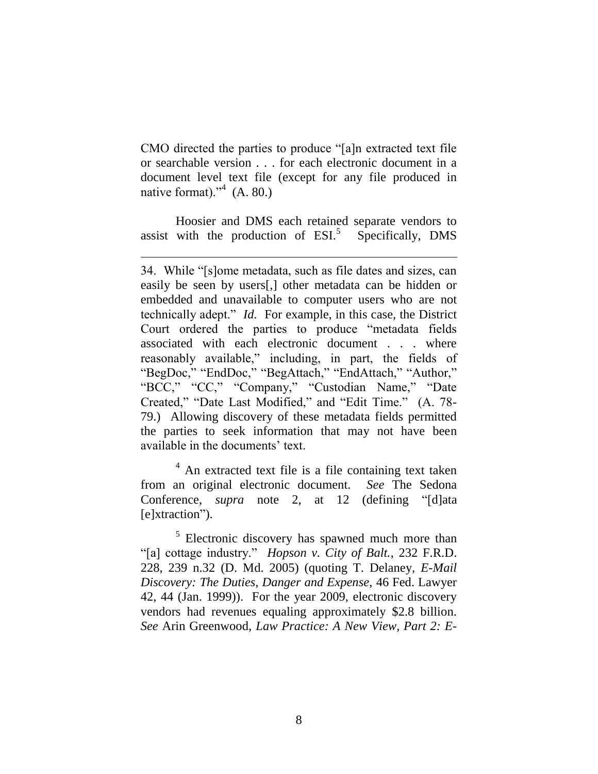CMO directed the parties to produce "[a]n extracted text file or searchable version . . . for each electronic document in a document level text file (except for any file produced in native format)."<sup>4</sup> (A. 80.)

Hoosier and DMS each retained separate vendors to assist with the production of  $ESI<sup>5</sup>$  Specifically, DMS

<sup>4</sup> An extracted text file is a file containing text taken from an original electronic document. *See* The Sedona Conference, *supra* note 2, at 12 (defining "[d]ata [e]xtraction").

<sup>5</sup> Electronic discovery has spawned much more than ―[a] cottage industry.‖ *Hopson v. City of Balt.*, 232 F.R.D. 228, 239 n.32 (D. Md. 2005) (quoting T. Delaney, *E-Mail Discovery: The Duties, Danger and Expense*, 46 Fed. Lawyer 42, 44 (Jan. 1999)). For the year 2009, electronic discovery vendors had revenues equaling approximately \$2.8 billion. *See* Arin Greenwood, *Law Practice: A New View, Part 2: E-*

<sup>34.</sup> While "[s]ome metadata, such as file dates and sizes, can easily be seen by users[,] other metadata can be hidden or embedded and unavailable to computer users who are not technically adept." *Id.* For example, in this case, the District Court ordered the parties to produce "metadata fields" associated with each electronic document . . . where reasonably available," including, in part, the fields of "BegDoc," "EndDoc," "BegAttach," "EndAttach," "Author," "BCC," "CC," "Company," "Custodian Name," "Date Created," "Date Last Modified," and "Edit Time." (A. 78-79.) Allowing discovery of these metadata fields permitted the parties to seek information that may not have been available in the documents' text.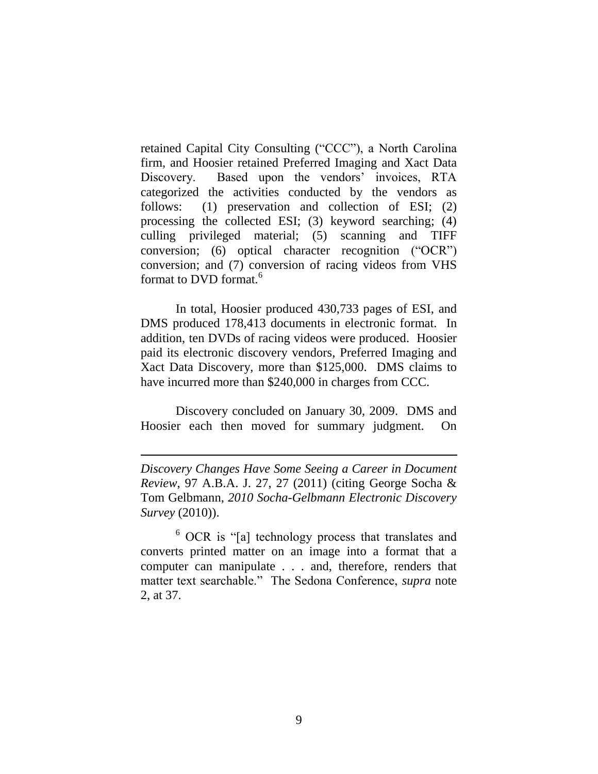retained Capital City Consulting ("CCC"), a North Carolina firm, and Hoosier retained Preferred Imaging and Xact Data Discovery. Based upon the vendors' invoices, RTA categorized the activities conducted by the vendors as follows: (1) preservation and collection of ESI; (2) processing the collected ESI; (3) keyword searching; (4) culling privileged material; (5) scanning and TIFF conversion; (6) optical character recognition  $(^{\omega}OCR^{\omega})$ conversion; and (7) conversion of racing videos from VHS format to DVD format.<sup>6</sup>

In total, Hoosier produced 430,733 pages of ESI, and DMS produced 178,413 documents in electronic format. In addition, ten DVDs of racing videos were produced. Hoosier paid its electronic discovery vendors, Preferred Imaging and Xact Data Discovery, more than \$125,000. DMS claims to have incurred more than \$240,000 in charges from CCC.

Discovery concluded on January 30, 2009. DMS and Hoosier each then moved for summary judgment. On

*Discovery Changes Have Some Seeing a Career in Document Review*, 97 A.B.A. J. 27, 27 (2011) (citing George Socha & Tom Gelbmann, *2010 Socha-Gelbmann Electronic Discovery Survey* (2010)).

 $\overline{a}$ 

 $6$  OCR is "[a] technology process that translates and converts printed matter on an image into a format that a computer can manipulate . . . and, therefore, renders that matter text searchable." The Sedona Conference, *supra* note 2, at 37.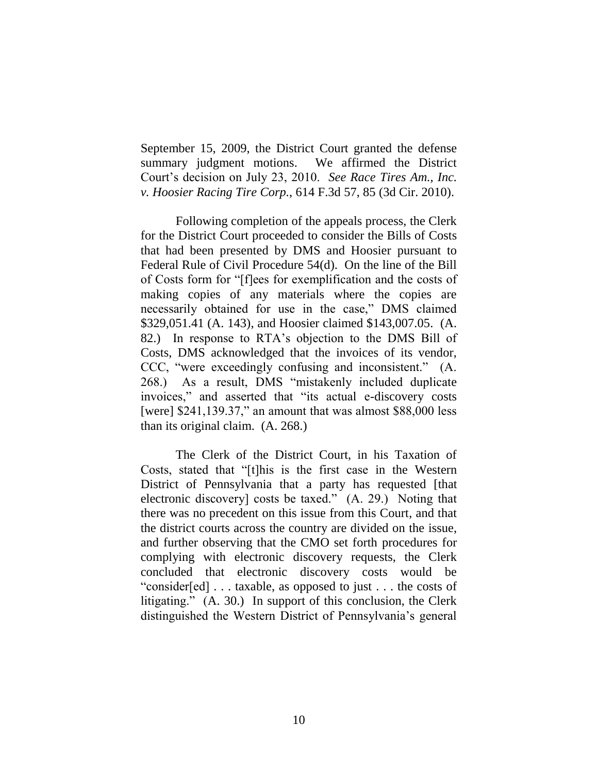September 15, 2009, the District Court granted the defense summary judgment motions. We affirmed the District Court's decision on July 23, 2010. *See Race Tires Am., Inc. v. Hoosier Racing Tire Corp.*, 614 F.3d 57, 85 (3d Cir. 2010).

Following completion of the appeals process, the Clerk for the District Court proceeded to consider the Bills of Costs that had been presented by DMS and Hoosier pursuant to Federal Rule of Civil Procedure 54(d). On the line of the Bill of Costs form for "[f]ees for exemplification and the costs of making copies of any materials where the copies are necessarily obtained for use in the case," DMS claimed \$329,051.41 (A. 143), and Hoosier claimed \$143,007.05. (A. 82.) In response to RTA's objection to the DMS Bill of Costs, DMS acknowledged that the invoices of its vendor, CCC, "were exceedingly confusing and inconsistent." (A. 268.) As a result, DMS "mistakenly included duplicate invoices," and asserted that "its actual e-discovery costs [were]  $$241,139.37$ ," an amount that was almost  $$88,000$  less than its original claim. (A. 268.)

The Clerk of the District Court, in his Taxation of Costs, stated that "[t]his is the first case in the Western District of Pennsylvania that a party has requested [that electronic discovery] costs be taxed."  $(A. 29.)$  Noting that there was no precedent on this issue from this Court, and that the district courts across the country are divided on the issue, and further observing that the CMO set forth procedures for complying with electronic discovery requests, the Clerk concluded that electronic discovery costs would be "consider[ed] . . . taxable, as opposed to just . . . the costs of litigating." (A. 30.) In support of this conclusion, the Clerk distinguished the Western District of Pennsylvania's general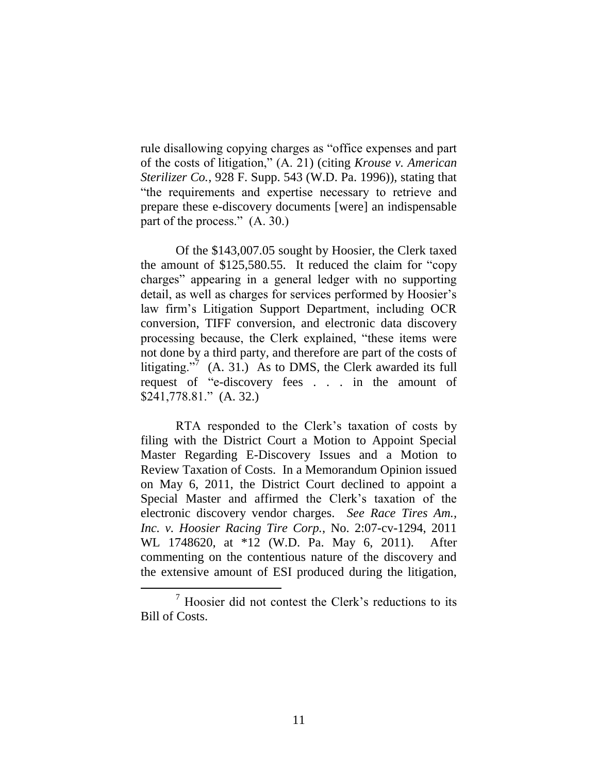rule disallowing copying charges as "office expenses and part of the costs of litigation,‖ (A. 21) (citing *Krouse v. American Sterilizer Co.*, 928 F. Supp. 543 (W.D. Pa. 1996)), stating that ―the requirements and expertise necessary to retrieve and prepare these e-discovery documents [were] an indispensable part of the process."  $(A. 30.)$ 

Of the \$143,007.05 sought by Hoosier, the Clerk taxed the amount of  $$125,580.55$ . It reduced the claim for "copy" charges" appearing in a general ledger with no supporting detail, as well as charges for services performed by Hoosier's law firm's Litigation Support Department, including OCR conversion, TIFF conversion, and electronic data discovery processing because, the Clerk explained, "these items were not done by a third party, and therefore are part of the costs of litigating."<sup>7</sup> (A. 31.) As to DMS, the Clerk awarded its full request of "e-discovery fees . . . in the amount of \$241,778.81." (A. 32.)

RTA responded to the Clerk's taxation of costs by filing with the District Court a Motion to Appoint Special Master Regarding E-Discovery Issues and a Motion to Review Taxation of Costs. In a Memorandum Opinion issued on May 6, 2011, the District Court declined to appoint a Special Master and affirmed the Clerk's taxation of the electronic discovery vendor charges. *See Race Tires Am., Inc. v. Hoosier Racing Tire Corp.*, No. 2:07-cv-1294, 2011 WL 1748620, at \*12 (W.D. Pa. May 6, 2011). After commenting on the contentious nature of the discovery and the extensive amount of ESI produced during the litigation,

 $\frac{7}{7}$  Hoosier did not contest the Clerk's reductions to its Bill of Costs.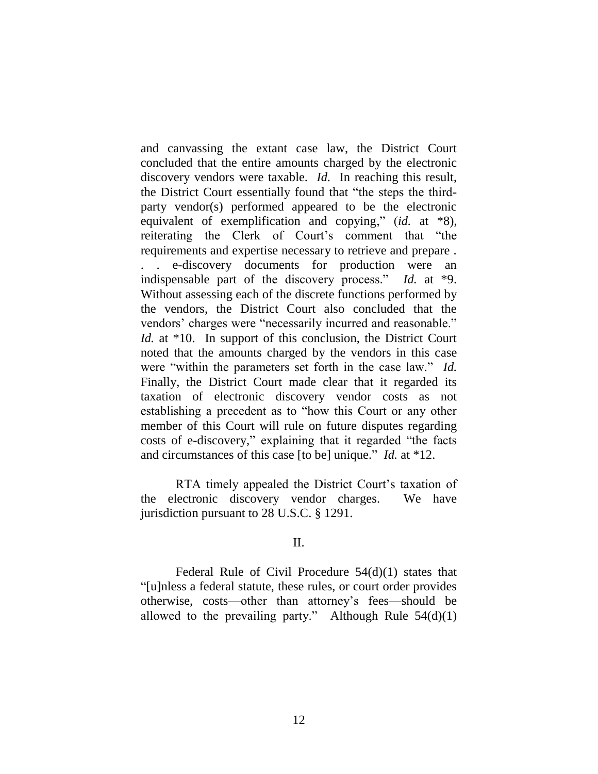and canvassing the extant case law, the District Court concluded that the entire amounts charged by the electronic discovery vendors were taxable. *Id.* In reaching this result, the District Court essentially found that "the steps the thirdparty vendor(s) performed appeared to be the electronic equivalent of exemplification and copying," (*id.* at \*8), reiterating the Clerk of Court's comment that "the requirements and expertise necessary to retrieve and prepare . . . e-discovery documents for production were an indispensable part of the discovery process." *Id.* at \*9. Without assessing each of the discrete functions performed by the vendors, the District Court also concluded that the vendors' charges were "necessarily incurred and reasonable." *Id.* at \*10. In support of this conclusion, the District Court noted that the amounts charged by the vendors in this case were "within the parameters set forth in the case law." *Id.* Finally, the District Court made clear that it regarded its taxation of electronic discovery vendor costs as not establishing a precedent as to "how this Court or any other member of this Court will rule on future disputes regarding costs of e-discovery," explaining that it regarded "the facts" and circumstances of this case [to be] unique." *Id.* at \*12.

RTA timely appealed the District Court's taxation of the electronic discovery vendor charges. We have jurisdiction pursuant to 28 U.S.C. § 1291.

#### II.

Federal Rule of Civil Procedure 54(d)(1) states that ―[u]nless a federal statute, these rules, or court order provides otherwise, costs—other than attorney's fees—should be allowed to the prevailing party." Although Rule  $54(d)(1)$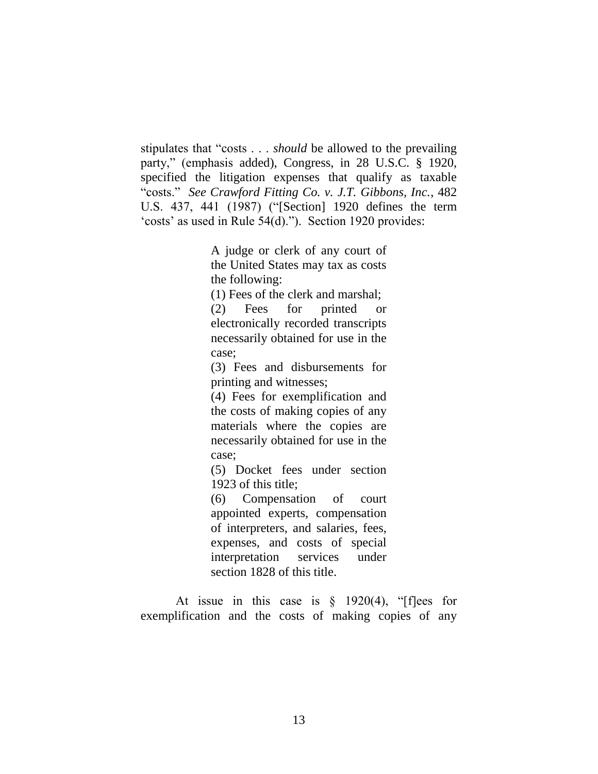stipulates that "costs . . . *should* be allowed to the prevailing party," (emphasis added), Congress, in 28 U.S.C. § 1920, specified the litigation expenses that qualify as taxable ―costs.‖ *See Crawford Fitting Co. v. J.T. Gibbons, Inc.*, 482 U.S. 437, 441 (1987) ("[Section] 1920 defines the term 'costs' as used in Rule  $54(d)$ ."). Section 1920 provides:

> A judge or clerk of any court of the United States may tax as costs the following:

(1) Fees of the clerk and marshal;

(2) Fees for printed or electronically recorded transcripts necessarily obtained for use in the case;

(3) Fees and disbursements for printing and witnesses;

(4) Fees for exemplification and the costs of making copies of any materials where the copies are necessarily obtained for use in the case;

(5) Docket fees under section 1923 of this title;

(6) Compensation of court appointed experts, compensation of interpreters, and salaries, fees, expenses, and costs of special interpretation services under section 1828 of this title.

At issue in this case is  $\S$  1920(4), "[f]ees for exemplification and the costs of making copies of any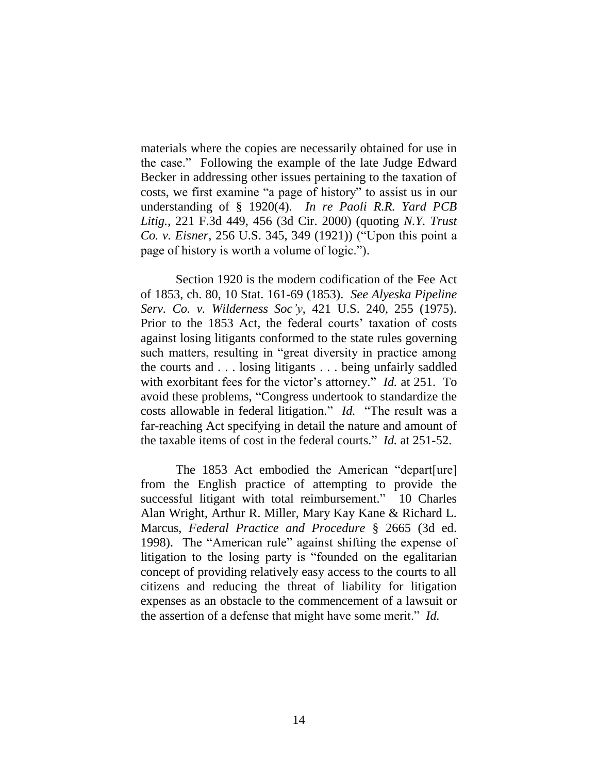materials where the copies are necessarily obtained for use in the case.‖ Following the example of the late Judge Edward Becker in addressing other issues pertaining to the taxation of costs, we first examine "a page of history" to assist us in our understanding of § 1920(4). *In re Paoli R.R. Yard PCB Litig.*, 221 F.3d 449, 456 (3d Cir. 2000) (quoting *N.Y. Trust Co. v. Eisner*, 256 U.S. 345, 349 (1921)) ("Upon this point a page of history is worth a volume of logic.").

Section 1920 is the modern codification of the Fee Act of 1853, ch. 80, 10 Stat. 161-69 (1853). *See Alyeska Pipeline Serv. Co. v. Wilderness Soc'y*, 421 U.S. 240, 255 (1975). Prior to the 1853 Act, the federal courts' taxation of costs against losing litigants conformed to the state rules governing such matters, resulting in "great diversity in practice among the courts and . . . losing litigants . . . being unfairly saddled with exorbitant fees for the victor's attorney." *Id.* at 251. To avoid these problems, "Congress undertook to standardize the costs allowable in federal litigation." *Id.* "The result was a far-reaching Act specifying in detail the nature and amount of the taxable items of cost in the federal courts." *Id.* at 251-52.

The 1853 Act embodied the American "depart[ure] from the English practice of attempting to provide the successful litigant with total reimbursement." 10 Charles Alan Wright, Arthur R. Miller, Mary Kay Kane & Richard L. Marcus, *Federal Practice and Procedure* § 2665 (3d ed. 1998). The "American rule" against shifting the expense of litigation to the losing party is "founded on the egalitarian concept of providing relatively easy access to the courts to all citizens and reducing the threat of liability for litigation expenses as an obstacle to the commencement of a lawsuit or the assertion of a defense that might have some merit." *Id.*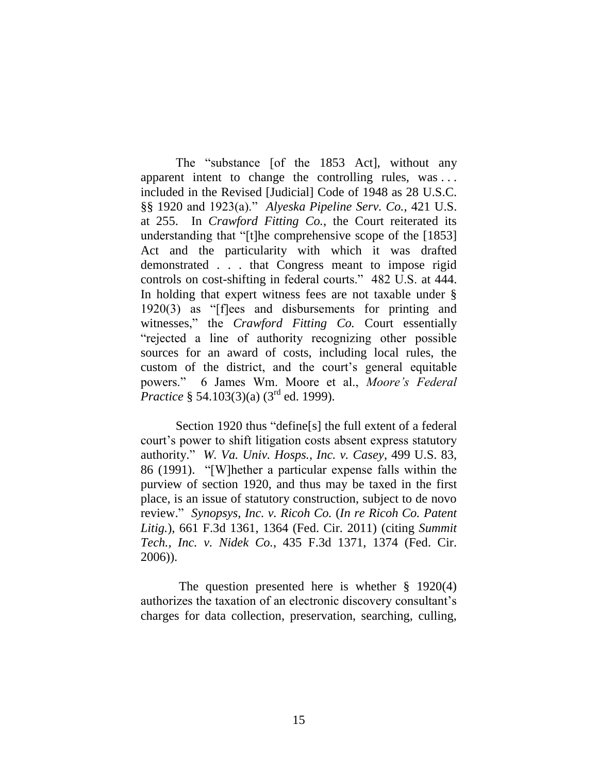The "substance [of the 1853 Act], without any apparent intent to change the controlling rules, was . . . included in the Revised [Judicial] Code of 1948 as 28 U.S.C. §§ 1920 and 1923(a).‖ *Alyeska Pipeline Serv. Co.*, 421 U.S. at 255. In *Crawford Fitting Co.*, the Court reiterated its understanding that "[t]he comprehensive scope of the [1853] Act and the particularity with which it was drafted demonstrated . . . that Congress meant to impose rigid controls on cost-shifting in federal courts." 482 U.S. at 444. In holding that expert witness fees are not taxable under §  $1920(3)$  as "[f]ees and disbursements for printing and witnesses,‖ the *Crawford Fitting Co.* Court essentially "rejected a line of authority recognizing other possible sources for an award of costs, including local rules, the custom of the district, and the court's general equitable powers.‖ 6 James Wm. Moore et al., *Moore's Federal Practice* § 54.103(3)(a) (3<sup>rd</sup> ed. 1999).

Section 1920 thus "define[s] the full extent of a federal court's power to shift litigation costs absent express statutory authority.‖ *W. Va. Univ. Hosps., Inc. v. Casey*, 499 U.S. 83, 86 (1991). "[W]hether a particular expense falls within the purview of section 1920, and thus may be taxed in the first place, is an issue of statutory construction, subject to de novo review.‖ *Synopsys, Inc. v. Ricoh Co.* (*In re Ricoh Co. Patent Litig.*), 661 F.3d 1361, 1364 (Fed. Cir. 2011) (citing *Summit Tech., Inc. v. Nidek Co.*, 435 F.3d 1371, 1374 (Fed. Cir. 2006)).

The question presented here is whether § 1920(4) authorizes the taxation of an electronic discovery consultant's charges for data collection, preservation, searching, culling,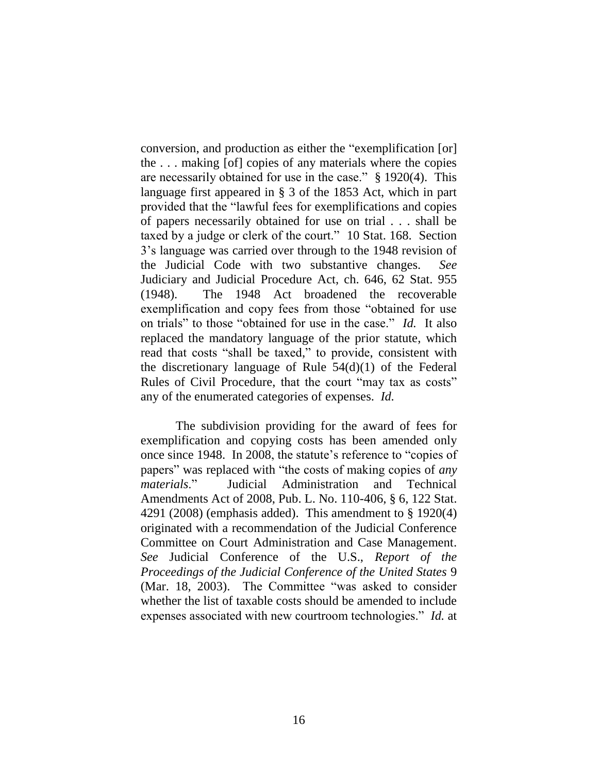conversion, and production as either the "exemplification [or] the . . . making [of] copies of any materials where the copies are necessarily obtained for use in the case."  $§ 1920(4)$ . This language first appeared in § 3 of the 1853 Act, which in part provided that the "lawful fees for exemplifications and copies of papers necessarily obtained for use on trial . . . shall be taxed by a judge or clerk of the court." 10 Stat. 168. Section 3's language was carried over through to the 1948 revision of the Judicial Code with two substantive changes. *See* Judiciary and Judicial Procedure Act, ch. 646, 62 Stat. 955 (1948). The 1948 Act broadened the recoverable exemplification and copy fees from those "obtained for use on trials" to those "obtained for use in the case." *Id.* It also replaced the mandatory language of the prior statute, which read that costs "shall be taxed," to provide, consistent with the discretionary language of Rule  $54(d)(1)$  of the Federal Rules of Civil Procedure, that the court "may tax as costs" any of the enumerated categories of expenses. *Id.*

The subdivision providing for the award of fees for exemplification and copying costs has been amended only once since 1948. In 2008, the statute's reference to "copies of papers" was replaced with "the costs of making copies of *any materials*.‖ Judicial Administration and Technical Amendments Act of 2008, Pub. L. No. 110-406, § 6, 122 Stat. 4291 (2008) (emphasis added). This amendment to § 1920(4) originated with a recommendation of the Judicial Conference Committee on Court Administration and Case Management. *See* Judicial Conference of the U.S., *Report of the Proceedings of the Judicial Conference of the United States* 9 (Mar. 18, 2003). The Committee "was asked to consider whether the list of taxable costs should be amended to include expenses associated with new courtroom technologies." *Id.* at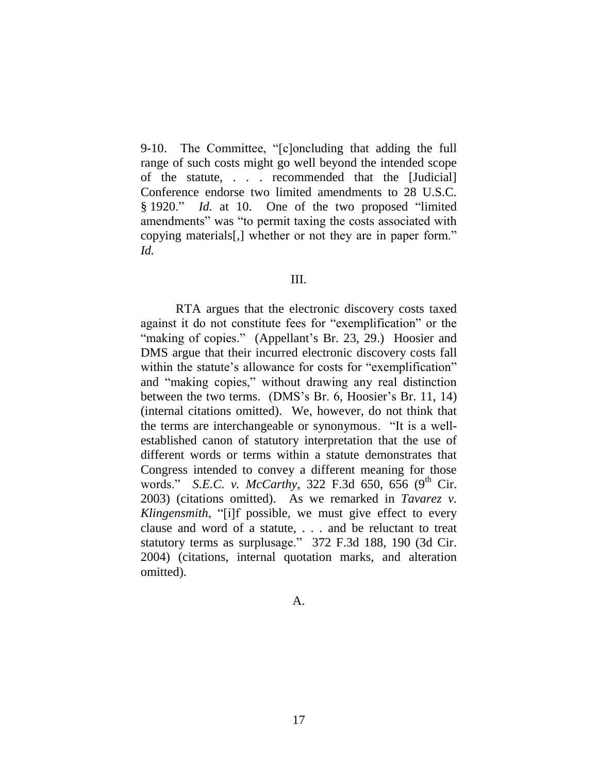9-10. The Committee, "[c]oncluding that adding the full range of such costs might go well beyond the intended scope of the statute, . . . recommended that the [Judicial] Conference endorse two limited amendments to 28 U.S.C. § 1920." *Id.* at 10. One of the two proposed "limited amendments" was "to permit taxing the costs associated with copying materials[,] whether or not they are in paper form." *Id.*

#### III.

RTA argues that the electronic discovery costs taxed against it do not constitute fees for "exemplification" or the "making of copies." (Appellant's Br. 23, 29.) Hoosier and DMS argue that their incurred electronic discovery costs fall within the statute's allowance for costs for "exemplification" and "making copies," without drawing any real distinction between the two terms. (DMS's Br. 6, Hoosier's Br. 11, 14) (internal citations omitted). We, however, do not think that the terms are interchangeable or synonymous. "It is a wellestablished canon of statutory interpretation that the use of different words or terms within a statute demonstrates that Congress intended to convey a different meaning for those words." *S.E.C. v. McCarthy*, 322 F.3d 650, 656 (9<sup>th</sup> Cir. 2003) (citations omitted). As we remarked in *Tavarez v. Klingensmith*, "[i]f possible, we must give effect to every clause and word of a statute, . . . and be reluctant to treat statutory terms as surplusage." 372 F.3d 188, 190 (3d Cir. 2004) (citations, internal quotation marks, and alteration omitted).

A.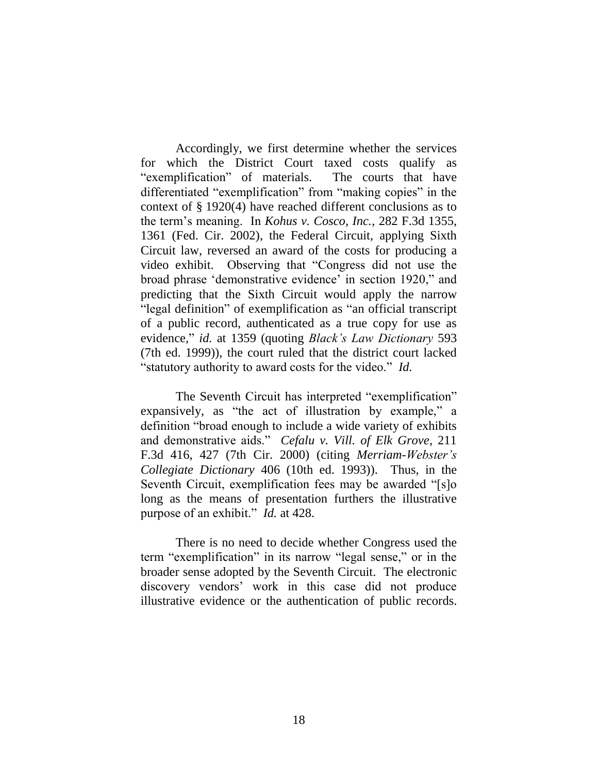Accordingly, we first determine whether the services for which the District Court taxed costs qualify as "exemplification" of materials. The courts that have differentiated "exemplification" from "making copies" in the context of § 1920(4) have reached different conclusions as to the term's meaning. In *Kohus v. Cosco, Inc.*, 282 F.3d 1355, 1361 (Fed. Cir. 2002), the Federal Circuit, applying Sixth Circuit law, reversed an award of the costs for producing a video exhibit. Observing that "Congress did not use the broad phrase 'demonstrative evidence' in section 1920," and predicting that the Sixth Circuit would apply the narrow "legal definition" of exemplification as "an official transcript" of a public record, authenticated as a true copy for use as evidence," *id.* at 1359 (quoting *Black's Law Dictionary* 593 (7th ed. 1999)), the court ruled that the district court lacked "statutory authority to award costs for the video." *Id.* 

The Seventh Circuit has interpreted "exemplification" expansively, as "the act of illustration by example," a definition "broad enough to include a wide variety of exhibits" and demonstrative aids.‖ *Cefalu v. Vill. of Elk Grove*, 211 F.3d 416, 427 (7th Cir. 2000) (citing *Merriam-Webster's Collegiate Dictionary* 406 (10th ed. 1993)). Thus, in the Seventh Circuit, exemplification fees may be awarded "[s]o long as the means of presentation furthers the illustrative purpose of an exhibit." *Id.* at 428.

There is no need to decide whether Congress used the term "exemplification" in its narrow "legal sense," or in the broader sense adopted by the Seventh Circuit. The electronic discovery vendors' work in this case did not produce illustrative evidence or the authentication of public records.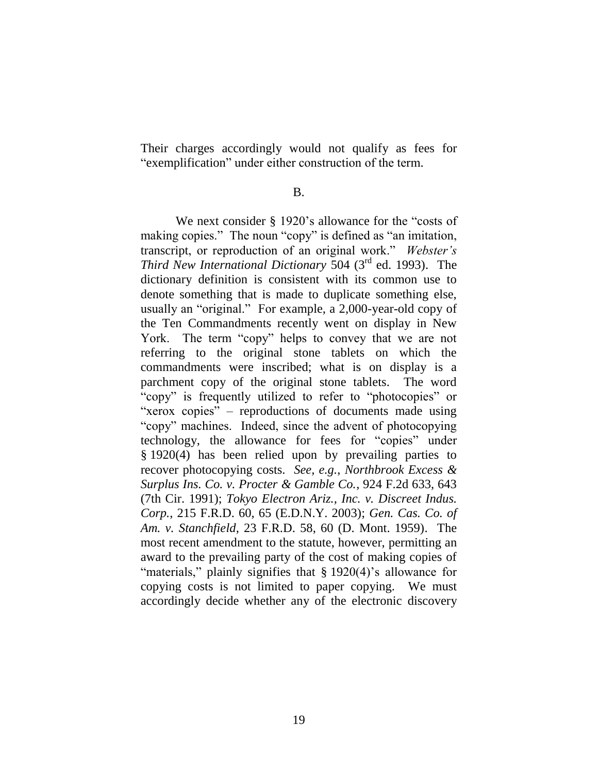Their charges accordingly would not qualify as fees for "exemplification" under either construction of the term.

B.

We next consider  $\S$  1920's allowance for the "costs of making copies." The noun "copy" is defined as "an imitation, transcript, or reproduction of an original work." Webster's Third New International Dictionary 504 (3<sup>rd</sup> ed. 1993). The dictionary definition is consistent with its common use to denote something that is made to duplicate something else, usually an "original." For example, a 2,000-year-old copy of the Ten Commandments recently went on display in New York. The term "copy" helps to convey that we are not referring to the original stone tablets on which the commandments were inscribed; what is on display is a parchment copy of the original stone tablets. The word "copy" is frequently utilized to refer to "photocopies" or "xerox copies" – reproductions of documents made using "copy" machines. Indeed, since the advent of photocopying technology, the allowance for fees for "copies" under § 1920(4) has been relied upon by prevailing parties to recover photocopying costs. *See, e.g.*, *Northbrook Excess & Surplus Ins. Co. v. Procter & Gamble Co.*, 924 F.2d 633, 643 (7th Cir. 1991); *Tokyo Electron Ariz., Inc. v. Discreet Indus. Corp.*, 215 F.R.D. 60, 65 (E.D.N.Y. 2003); *Gen. Cas. Co. of Am. v. Stanchfield*, 23 F.R.D. 58, 60 (D. Mont. 1959). The most recent amendment to the statute, however, permitting an award to the prevailing party of the cost of making copies of "materials," plainly signifies that  $\S 1920(4)$ 's allowance for copying costs is not limited to paper copying. We must accordingly decide whether any of the electronic discovery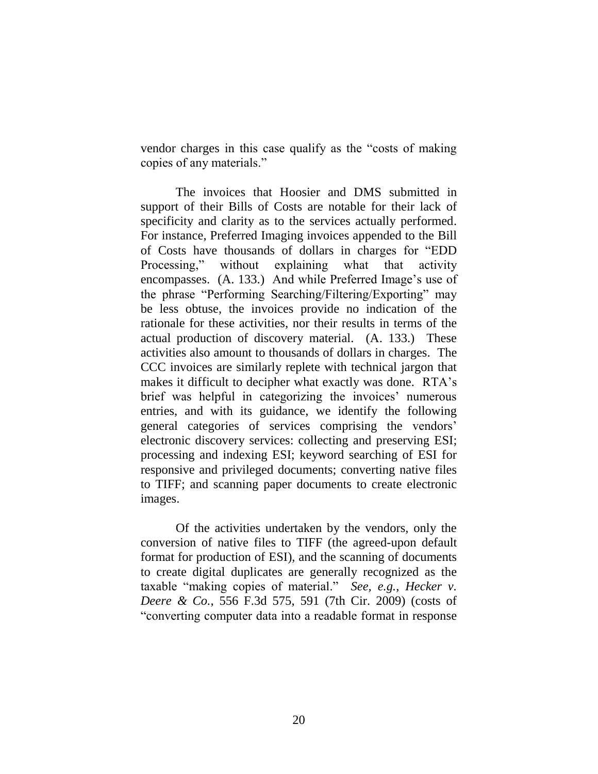vendor charges in this case qualify as the "costs of making" copies of any materials."

The invoices that Hoosier and DMS submitted in support of their Bills of Costs are notable for their lack of specificity and clarity as to the services actually performed. For instance, Preferred Imaging invoices appended to the Bill of Costs have thousands of dollars in charges for ―EDD Processing," without explaining what that activity encompasses. (A. 133.) And while Preferred Image's use of the phrase "Performing Searching/Filtering/Exporting" may be less obtuse, the invoices provide no indication of the rationale for these activities, nor their results in terms of the actual production of discovery material. (A. 133.) These activities also amount to thousands of dollars in charges. The CCC invoices are similarly replete with technical jargon that makes it difficult to decipher what exactly was done. RTA's brief was helpful in categorizing the invoices' numerous entries, and with its guidance, we identify the following general categories of services comprising the vendors' electronic discovery services: collecting and preserving ESI; processing and indexing ESI; keyword searching of ESI for responsive and privileged documents; converting native files to TIFF; and scanning paper documents to create electronic images.

Of the activities undertaken by the vendors, only the conversion of native files to TIFF (the agreed-upon default format for production of ESI), and the scanning of documents to create digital duplicates are generally recognized as the taxable "making copies of material." *See, e.g., Hecker v. Deere & Co.*, 556 F.3d 575, 591 (7th Cir. 2009) (costs of ―converting computer data into a readable format in response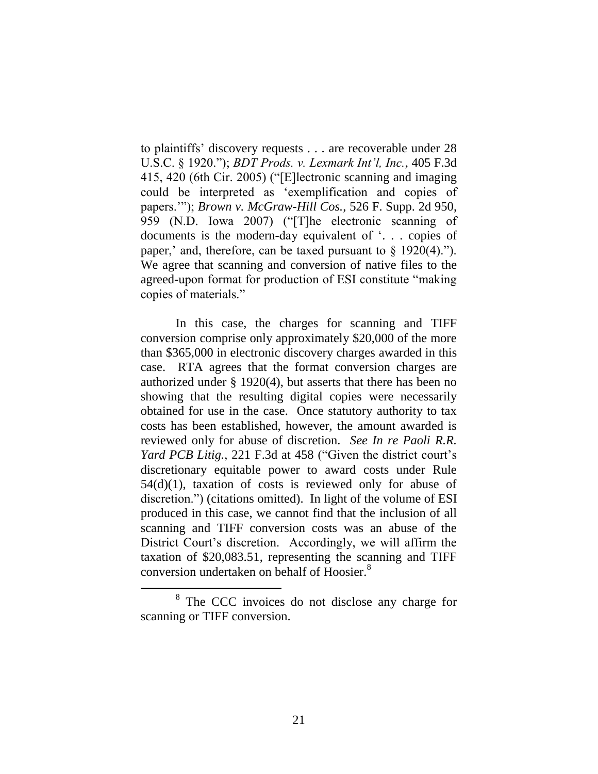to plaintiffs' discovery requests . . . are recoverable under 28 U.S.C. § 1920.‖); *BDT Prods. v. Lexmark Int'l, Inc.*, 405 F.3d 415, 420 (6th Cir. 2005) ("[E]lectronic scanning and imaging could be interpreted as 'exemplification and copies of papers.'‖); *Brown v. McGraw-Hill Cos.*, 526 F. Supp. 2d 950, 959 (N.D. Iowa 2007) ("The electronic scanning of documents is the modern-day equivalent of  $\ldots$  copies of paper,' and, therefore, can be taxed pursuant to  $\S$  1920(4)."). We agree that scanning and conversion of native files to the agreed-upon format for production of ESI constitute "making" copies of materials."

In this case, the charges for scanning and TIFF conversion comprise only approximately \$20,000 of the more than \$365,000 in electronic discovery charges awarded in this case. RTA agrees that the format conversion charges are authorized under § 1920(4), but asserts that there has been no showing that the resulting digital copies were necessarily obtained for use in the case. Once statutory authority to tax costs has been established, however, the amount awarded is reviewed only for abuse of discretion. *See In re Paoli R.R. Yard PCB Litig.*, 221 F.3d at 458 ("Given the district court's discretionary equitable power to award costs under Rule 54(d)(1), taxation of costs is reviewed only for abuse of discretion.") (citations omitted). In light of the volume of ESI produced in this case, we cannot find that the inclusion of all scanning and TIFF conversion costs was an abuse of the District Court's discretion. Accordingly, we will affirm the taxation of \$20,083.51, representing the scanning and TIFF conversion undertaken on behalf of Hoosier.<sup>8</sup>

<sup>&</sup>lt;sup>8</sup> The CCC invoices do not disclose any charge for scanning or TIFF conversion.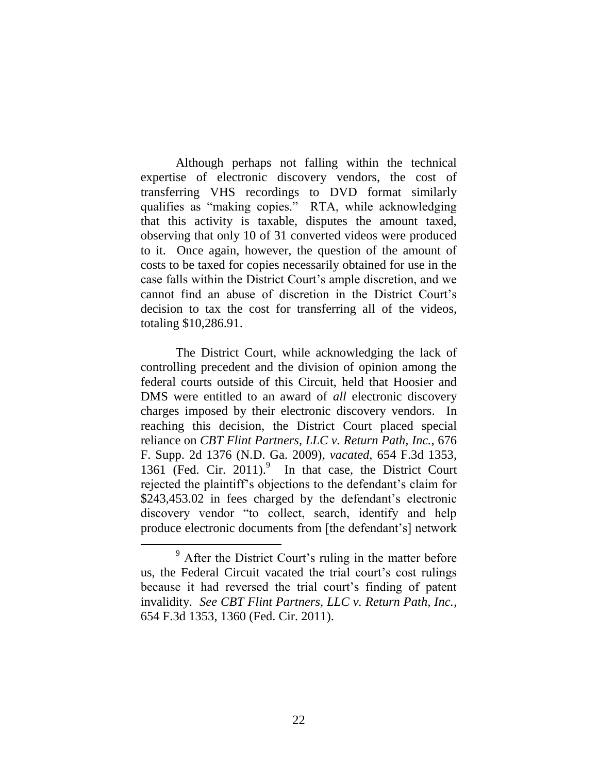Although perhaps not falling within the technical expertise of electronic discovery vendors, the cost of transferring VHS recordings to DVD format similarly qualifies as "making copies." RTA, while acknowledging that this activity is taxable, disputes the amount taxed, observing that only 10 of 31 converted videos were produced to it. Once again, however, the question of the amount of costs to be taxed for copies necessarily obtained for use in the case falls within the District Court's ample discretion, and we cannot find an abuse of discretion in the District Court's decision to tax the cost for transferring all of the videos, totaling \$10,286.91.

The District Court, while acknowledging the lack of controlling precedent and the division of opinion among the federal courts outside of this Circuit, held that Hoosier and DMS were entitled to an award of *all* electronic discovery charges imposed by their electronic discovery vendors. In reaching this decision, the District Court placed special reliance on *CBT Flint Partners, LLC v. Return Path, Inc.*, 676 F. Supp. 2d 1376 (N.D. Ga. 2009), *vacated*, 654 F.3d 1353, 1361 (Fed. Cir. 2011). 9 In that case, the District Court rejected the plaintiff's objections to the defendant's claim for \$243,453.02 in fees charged by the defendant's electronic discovery vendor "to collect, search, identify and help produce electronic documents from [the defendant's] network

<sup>&</sup>lt;sup>9</sup> After the District Court's ruling in the matter before us, the Federal Circuit vacated the trial court's cost rulings because it had reversed the trial court's finding of patent invalidity. *See CBT Flint Partners, LLC v. Return Path, Inc.*, 654 F.3d 1353, 1360 (Fed. Cir. 2011).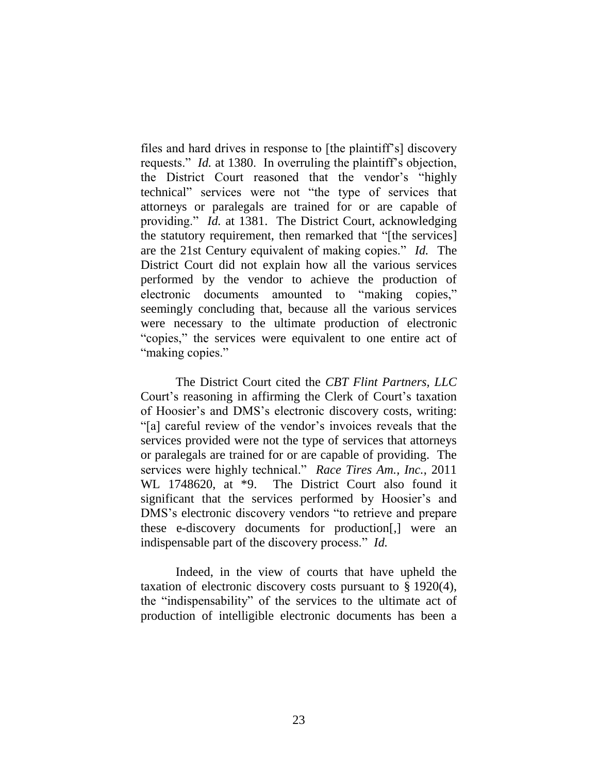files and hard drives in response to [the plaintiff's] discovery requests." *Id.* at 1380. In overruling the plaintiff's objection, the District Court reasoned that the vendor's "highly technical" services were not "the type of services that attorneys or paralegals are trained for or are capable of providing." *Id.* at 1381. The District Court, acknowledging the statutory requirement, then remarked that "[the services] are the 21st Century equivalent of making copies." *Id.* The District Court did not explain how all the various services performed by the vendor to achieve the production of electronic documents amounted to "making copies," seemingly concluding that, because all the various services were necessary to the ultimate production of electronic "copies," the services were equivalent to one entire act of "making copies."

The District Court cited the *CBT Flint Partners, LLC* Court's reasoning in affirming the Clerk of Court's taxation of Hoosier's and DMS's electronic discovery costs, writing: ―[a] careful review of the vendor's invoices reveals that the services provided were not the type of services that attorneys or paralegals are trained for or are capable of providing. The services were highly technical." *Race Tires Am., Inc.*, 2011 WL 1748620, at \*9. The District Court also found it significant that the services performed by Hoosier's and DMS's electronic discovery vendors "to retrieve and prepare these e-discovery documents for production[,] were an indispensable part of the discovery process." *Id.* 

Indeed, in the view of courts that have upheld the taxation of electronic discovery costs pursuant to § 1920(4), the "indispensability" of the services to the ultimate act of production of intelligible electronic documents has been a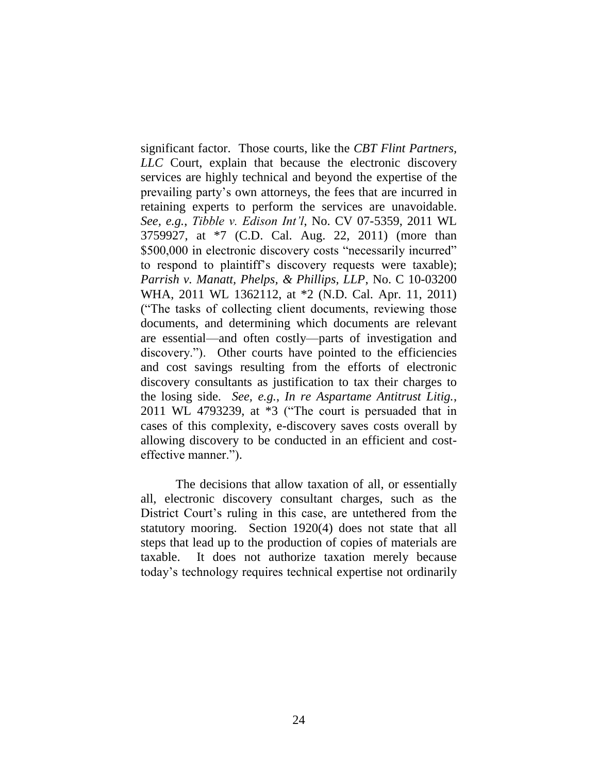significant factor. Those courts, like the *CBT Flint Partners, LLC* Court, explain that because the electronic discovery services are highly technical and beyond the expertise of the prevailing party's own attorneys, the fees that are incurred in retaining experts to perform the services are unavoidable. *See, e.g.*, *Tibble v. Edison Int'l*, No. CV 07-5359, 2011 WL 3759927, at \*7 (C.D. Cal. Aug. 22, 2011) (more than \$500,000 in electronic discovery costs "necessarily incurred" to respond to plaintiff's discovery requests were taxable); *Parrish v. Manatt, Phelps, & Phillips, LLP*, No. C 10-03200 WHA, 2011 WL 1362112, at \*2 (N.D. Cal. Apr. 11, 2011) (―The tasks of collecting client documents, reviewing those documents, and determining which documents are relevant are essential—and often costly—parts of investigation and discovery."). Other courts have pointed to the efficiencies and cost savings resulting from the efforts of electronic discovery consultants as justification to tax their charges to the losing side. *See, e.g.*, *In re Aspartame Antitrust Litig.*,  $2011$  WL 4793239, at  $*3$  ("The court is persuaded that in cases of this complexity, e-discovery saves costs overall by allowing discovery to be conducted in an efficient and costeffective manner.").

The decisions that allow taxation of all, or essentially all, electronic discovery consultant charges, such as the District Court's ruling in this case, are untethered from the statutory mooring. Section 1920(4) does not state that all steps that lead up to the production of copies of materials are taxable. It does not authorize taxation merely because today's technology requires technical expertise not ordinarily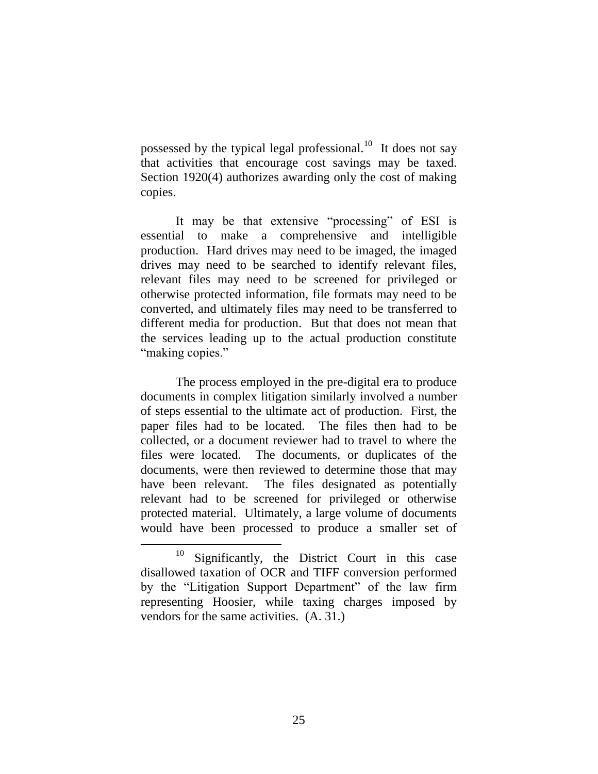possessed by the typical legal professional.<sup>10</sup> It does not say that activities that encourage cost savings may be taxed. Section 1920(4) authorizes awarding only the cost of making copies.

It may be that extensive "processing" of ESI is essential to make a comprehensive and intelligible production. Hard drives may need to be imaged, the imaged drives may need to be searched to identify relevant files, relevant files may need to be screened for privileged or otherwise protected information, file formats may need to be converted, and ultimately files may need to be transferred to different media for production. But that does not mean that the services leading up to the actual production constitute "making copies."

The process employed in the pre-digital era to produce documents in complex litigation similarly involved a number of steps essential to the ultimate act of production. First, the paper files had to be located. The files then had to be collected, or a document reviewer had to travel to where the files were located. The documents, or duplicates of the documents, were then reviewed to determine those that may have been relevant. The files designated as potentially relevant had to be screened for privileged or otherwise protected material. Ultimately, a large volume of documents would have been processed to produce a smaller set of

 $10$  Significantly, the District Court in this case disallowed taxation of OCR and TIFF conversion performed by the "Litigation Support Department" of the law firm representing Hoosier, while taxing charges imposed by vendors for the same activities. (A. 31.)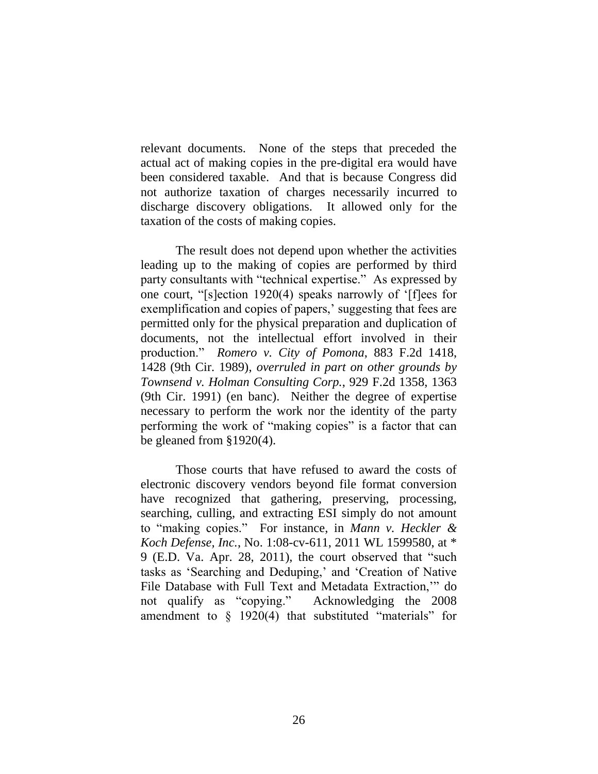relevant documents. None of the steps that preceded the actual act of making copies in the pre-digital era would have been considered taxable. And that is because Congress did not authorize taxation of charges necessarily incurred to discharge discovery obligations. It allowed only for the taxation of the costs of making copies.

The result does not depend upon whether the activities leading up to the making of copies are performed by third party consultants with "technical expertise." As expressed by one court, "[s]ection 1920(4) speaks narrowly of '[f]ees for exemplification and copies of papers,' suggesting that fees are permitted only for the physical preparation and duplication of documents, not the intellectual effort involved in their production.‖ *Romero v. City of Pomona*, 883 F.2d 1418, 1428 (9th Cir. 1989), *overruled in part on other grounds by Townsend v. Holman Consulting Corp.*, 929 F.2d 1358, 1363 (9th Cir. 1991) (en banc). Neither the degree of expertise necessary to perform the work nor the identity of the party performing the work of "making copies" is a factor that can be gleaned from §1920(4).

Those courts that have refused to award the costs of electronic discovery vendors beyond file format conversion have recognized that gathering, preserving, processing, searching, culling, and extracting ESI simply do not amount to "making copies." For instance, in *Mann v. Heckler & Koch Defense, Inc.*, No. 1:08-cv-611, 2011 WL 1599580, at \* 9 (E.D. Va. Apr. 28, 2011), the court observed that "such tasks as 'Searching and Deduping,' and 'Creation of Native File Database with Full Text and Metadata Extraction," do not qualify as "copying." Acknowledging the 2008 amendment to  $\S$  1920(4) that substituted "materials" for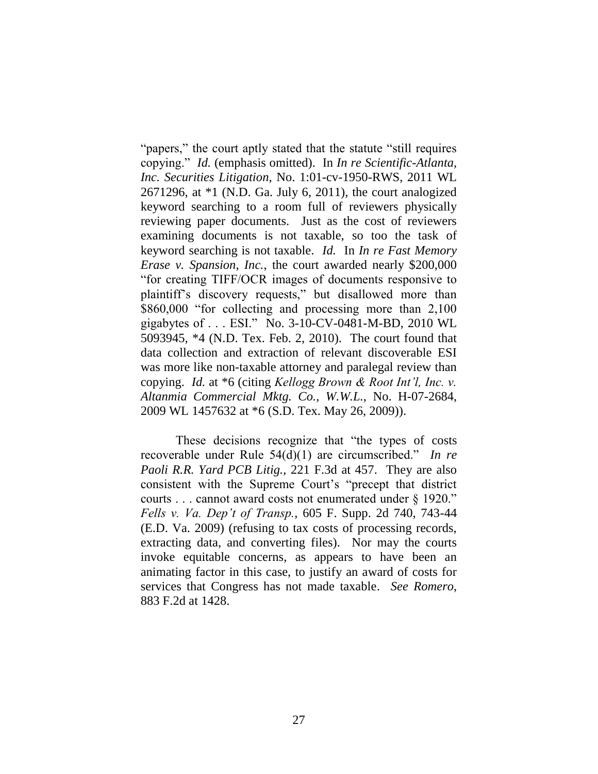"papers," the court aptly stated that the statute "still requires" copying.‖ *Id.* (emphasis omitted). In *In re Scientific-Atlanta, Inc. Securities Litigation*, No. 1:01-cv-1950-RWS, 2011 WL 2671296, at \*1 (N.D. Ga. July 6, 2011), the court analogized keyword searching to a room full of reviewers physically reviewing paper documents. Just as the cost of reviewers examining documents is not taxable, so too the task of keyword searching is not taxable. *Id.* In *In re Fast Memory Erase v. Spansion, Inc.*, the court awarded nearly \$200,000 ―for creating TIFF/OCR images of documents responsive to plaintiff's discovery requests," but disallowed more than \$860,000 "for collecting and processing more than 2,100 gigabytes of . . . ESI." No. 3-10-CV-0481-M-BD, 2010 WL 5093945, \*4 (N.D. Tex. Feb. 2, 2010). The court found that data collection and extraction of relevant discoverable ESI was more like non-taxable attorney and paralegal review than copying. *Id.* at \*6 (citing *Kellogg Brown & Root Int'l, Inc. v. Altanmia Commercial Mktg. Co.*, *W.W.L.*, No. H-07-2684, 2009 WL 1457632 at \*6 (S.D. Tex. May 26, 2009)).

These decisions recognize that "the types of costs" recoverable under Rule 54(d)(1) are circumscribed." *In re Paoli R.R. Yard PCB Litig.*, 221 F.3d at 457. They are also consistent with the Supreme Court's "precept that district courts . . . cannot award costs not enumerated under § 1920." *Fells v. Va. Dep't of Transp.*, 605 F. Supp. 2d 740, 743-44 (E.D. Va. 2009) (refusing to tax costs of processing records, extracting data, and converting files). Nor may the courts invoke equitable concerns, as appears to have been an animating factor in this case, to justify an award of costs for services that Congress has not made taxable. *See Romero*, 883 F.2d at 1428.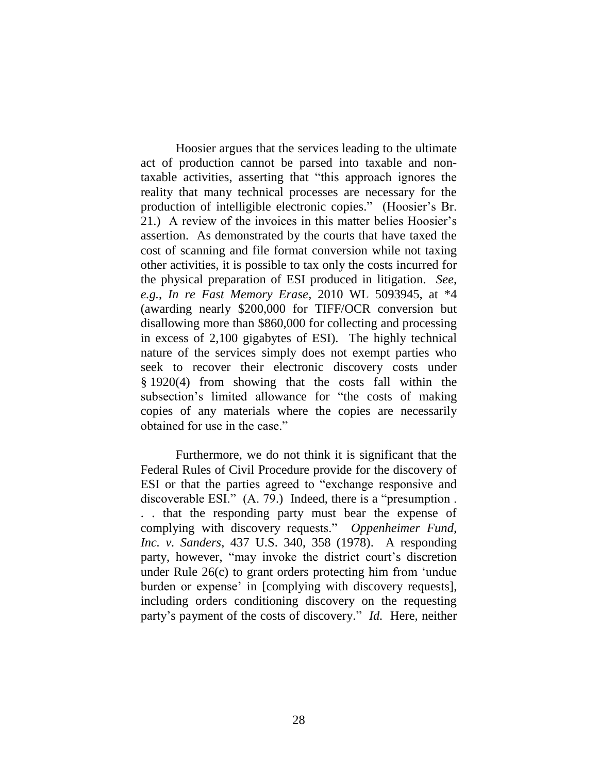Hoosier argues that the services leading to the ultimate act of production cannot be parsed into taxable and nontaxable activities, asserting that "this approach ignores the reality that many technical processes are necessary for the production of intelligible electronic copies.‖ (Hoosier's Br. 21.) A review of the invoices in this matter belies Hoosier's assertion. As demonstrated by the courts that have taxed the cost of scanning and file format conversion while not taxing other activities, it is possible to tax only the costs incurred for the physical preparation of ESI produced in litigation. *See*, *e.g.*, *In re Fast Memory Erase*, 2010 WL 5093945, at \*4 (awarding nearly \$200,000 for TIFF/OCR conversion but disallowing more than \$860,000 for collecting and processing in excess of 2,100 gigabytes of ESI). The highly technical nature of the services simply does not exempt parties who seek to recover their electronic discovery costs under § 1920(4) from showing that the costs fall within the subsection's limited allowance for "the costs of making copies of any materials where the copies are necessarily obtained for use in the case."

Furthermore, we do not think it is significant that the Federal Rules of Civil Procedure provide for the discovery of ESI or that the parties agreed to "exchange responsive and discoverable ESI."  $(A. 79.)$  Indeed, there is a "presumption. . . that the responding party must bear the expense of complying with discovery requests." Oppenheimer Fund, *Inc. v. Sanders*, 437 U.S. 340, 358 (1978). A responding party, however, "may invoke the district court's discretion under Rule  $26(c)$  to grant orders protecting him from 'undue burden or expense' in [complying with discovery requests], including orders conditioning discovery on the requesting party's payment of the costs of discovery." *Id.* Here, neither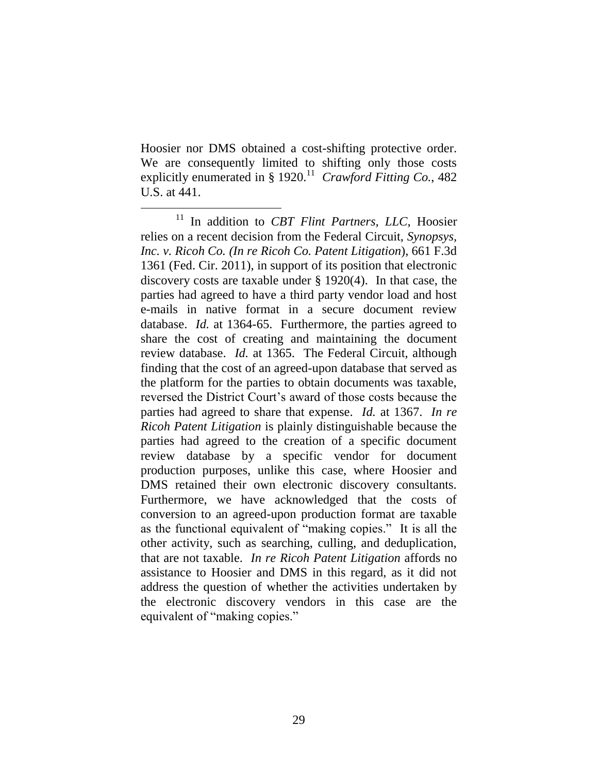Hoosier nor DMS obtained a cost-shifting protective order. We are consequently limited to shifting only those costs explicitly enumerated in § 1920.<sup>11</sup> Crawford Fitting Co., 482 U.S. at 441.

 $\overline{a}$ 

<sup>11</sup> In addition to *CBT Flint Partners, LLC*, Hoosier relies on a recent decision from the Federal Circuit, *Synopsys, Inc. v. Ricoh Co. (In re Ricoh Co. Patent Litigation*), 661 F.3d 1361 (Fed. Cir. 2011), in support of its position that electronic discovery costs are taxable under § 1920(4). In that case, the parties had agreed to have a third party vendor load and host e-mails in native format in a secure document review database. *Id.* at 1364-65. Furthermore, the parties agreed to share the cost of creating and maintaining the document review database. *Id.* at 1365. The Federal Circuit, although finding that the cost of an agreed-upon database that served as the platform for the parties to obtain documents was taxable, reversed the District Court's award of those costs because the parties had agreed to share that expense. *Id.* at 1367. *In re Ricoh Patent Litigation* is plainly distinguishable because the parties had agreed to the creation of a specific document review database by a specific vendor for document production purposes, unlike this case, where Hoosier and DMS retained their own electronic discovery consultants. Furthermore, we have acknowledged that the costs of conversion to an agreed-upon production format are taxable as the functional equivalent of "making copies." It is all the other activity, such as searching, culling, and deduplication, that are not taxable. *In re Ricoh Patent Litigation* affords no assistance to Hoosier and DMS in this regard, as it did not address the question of whether the activities undertaken by the electronic discovery vendors in this case are the equivalent of "making copies."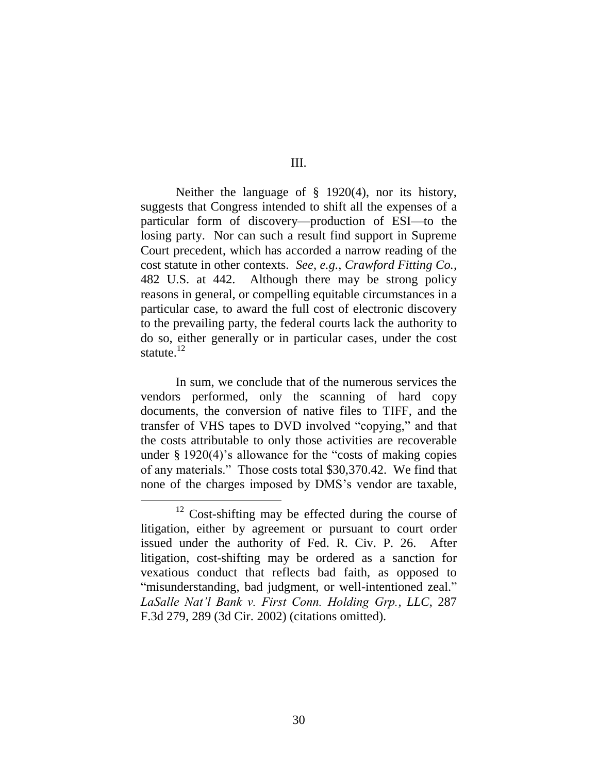III.

Neither the language of § 1920(4), nor its history, suggests that Congress intended to shift all the expenses of a particular form of discovery—production of ESI—to the losing party. Nor can such a result find support in Supreme Court precedent, which has accorded a narrow reading of the cost statute in other contexts. *See, e.g.*, *Crawford Fitting Co.,* 482 U.S. at 442. Although there may be strong policy reasons in general, or compelling equitable circumstances in a particular case, to award the full cost of electronic discovery to the prevailing party, the federal courts lack the authority to do so, either generally or in particular cases, under the cost statute. 12

In sum, we conclude that of the numerous services the vendors performed, only the scanning of hard copy documents, the conversion of native files to TIFF, and the transfer of VHS tapes to DVD involved "copying," and that the costs attributable to only those activities are recoverable under  $\S 1920(4)$ 's allowance for the "costs of making copies" of any materials." Those costs total \$30,370.42. We find that none of the charges imposed by DMS's vendor are taxable,

<sup>12</sup> Cost-shifting may be effected during the course of litigation, either by agreement or pursuant to court order issued under the authority of Fed. R. Civ. P. 26. After litigation, cost-shifting may be ordered as a sanction for vexatious conduct that reflects bad faith, as opposed to "misunderstanding, bad judgment, or well-intentioned zeal." *LaSalle Nat'l Bank v. First Conn. Holding Grp., LLC*, 287 F.3d 279, 289 (3d Cir. 2002) (citations omitted).